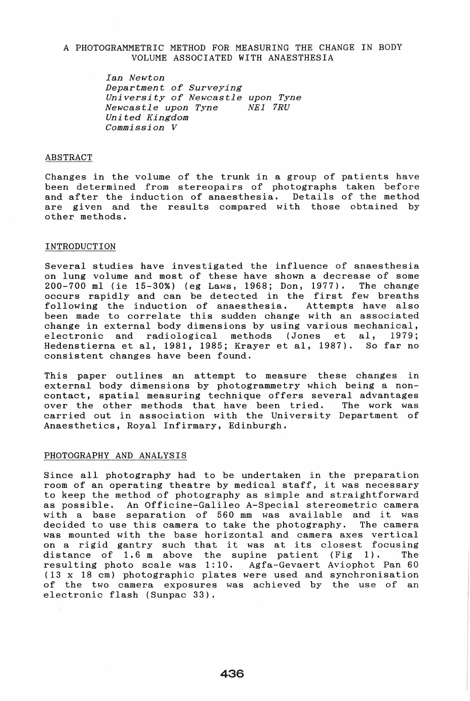# A PHOTOGRAMMETRIC METHOD FOR MEASURING THE CHANGE IN BODY VOLUME ASSOCIATED WITH ANAESTHESIA

*Ian Newton Department of Surveying University of Newcastle upon Tyne Newcastle upon Tyne NEl 7RU Uni ted Kingdom Commission V* 

### **ABSTRACT**

Changes in the volume of the trunk in a group of patients have been determined from stereopairs of photographs taken before and after the induction of anaesthesia. Details of the method are given and the results compared with those obtained by other methods.

# INTRODUCTION

Several studies have investigated the influence of anaesthesia on lung volume and most of these have shown a decrease of some 200-700 ml (ie 15-30%) (eg Laws, 1968; Don, 1977). The change occurs rapidly and can be detected in the first few breaths following the induction of anaesthesia. Attempts have also been made to correlate this sudden change with an associated change in external body dimensions by using various mechanical, electronic and radiological methods (Jones et aI, 1979; Hedenstierna et aI, 1981, 1985; Krayer et aI, 1987). So far no consistent changes have been found.

This paper outlines an attempt to measure these changes in external body dimensions by photogrammetry which being a noncontact, spatial measuring technique offers several advantages over the other methods that have been tried. The work was carried out in association with the University Department of Anaesthetics, Royal Infirmary, Edinburgh •

### PHOTOGRAPHY AND ANALYSIS

Since all photography had to be undertaken in the preparation room of an operating theatre by medical staff, it was necessary to keep the method of photography as simple and straightforward as possible. An Officine-Galileo A-Special stereometric camera with a base separation of 560 mm was available and it was decided to use this camera to take the photography. The camera was mounted with the base horizontal and camera axes vertical was mounted with the base norizontal and camera axes vertical<br>on a rigid gantry such that it was at its closest focusing distance of 1.6 m above the supine patient (Fig 1). The resul ting photo scale was 1: 10. Agfa-Gevaert Aviophot Pan 60 (13 x 18 cm) photographic plates were used and synchronisation of the two camera exposures was achieved by the use of an electronic flash (Sunpac 33).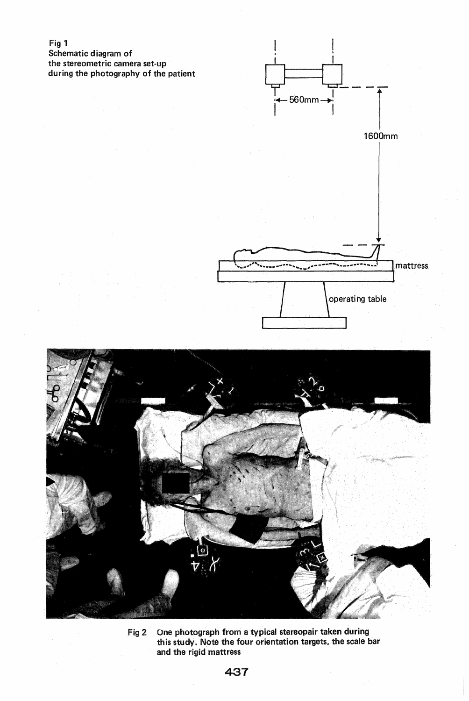

Fig 2 One photograph from a typical stereopair taken during this study. Note the four orientation targets. the scale bar and the rigid mattress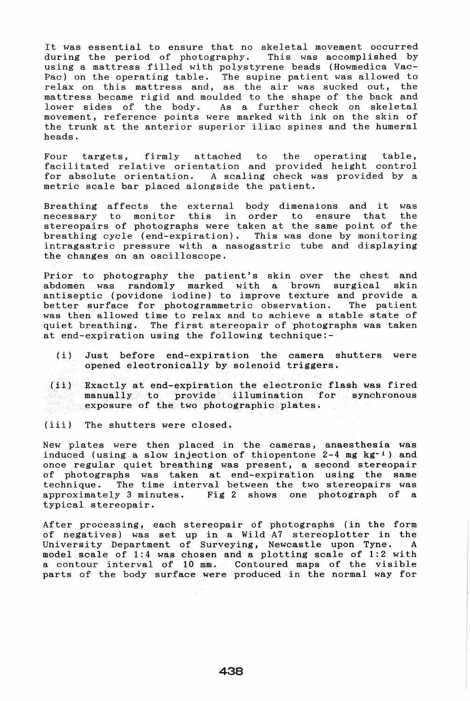It was essential to ensure that no skeletal movement occurred during the period of photography. This was accomplished by using a mattress filled with polystyrene beads (Howmedica Vac-Pac) on the operating table. The supine patient was allowed to rac, on the operating taste. The suprise pattent was arrowed to mattress became rigid and moulded to the shape of the back and<br>lower sides of the body. As a further check on skeletal As a further check on skeletal movement, reference points were marked with ink on the skin of the trunk at the anterior superior iliac spines and the humeral heads.

Four targets, firmly attached to the operating table, facili tated relative orientation and provided height control for absolute orientation. A scaling check was provided by a metric scale bar placed alongside the patient.

Breathing affects the external body dimensions and it was necessary to monitor this in order to ensure that the this in order to ensure that stereopairs of photographs were taken at the same point of the breathing cycle (end-expiration). This was done by monitoring intragastric pressure wi th a nasogastric tube and displaying the changes on an oscilloscope.

Prior to photography the patient's skin over the chest and abdomen was randomly marked with a brown surgical skin randomly marked with a brown surgical skin antiseptic (povidone iodine) to improve texture and provide a better surface for photogrammetric observation. was then allowed time to relax and to achieve a stable state of quiet breathing. The first stereopair of photographs was taken at end-expiration using the following technique:-

- (i) Just before end-expiration the camera shutters were opened electronically by solenoid triggers.
- (ii) Exactly at end-expiration the electronic flash was fired manually to provide illumination for synchronous exposure of the two photographic plates.
- (iii) The shutters were closed.

New plates were then placed in the cameras, anaesthesia was induced (using a slow injection of thiopentone  $2-4$  mg kg<sup>-1</sup>) and once regular quiet breathing was present, a second stereopair of photographs was taken at end-expiration using the same technique. The time interval between the two stereopairs was<br>approximately 3 minutes. Fig 2 shows one photograph of a Fig 2 shows one photograph of a typical stereopair.

After processing, each stereopair of photographs (in the form of negatives) was set up in a Wild A7 stereoplotter in the University Department of Surveying, Newcastle upon Tyne. A model scale of 1:4 was chosen and a plotting scale of 1:2 with a contour interval of 10 mm. Contoured maps of the visible parts of the body surface were produced in the normal way for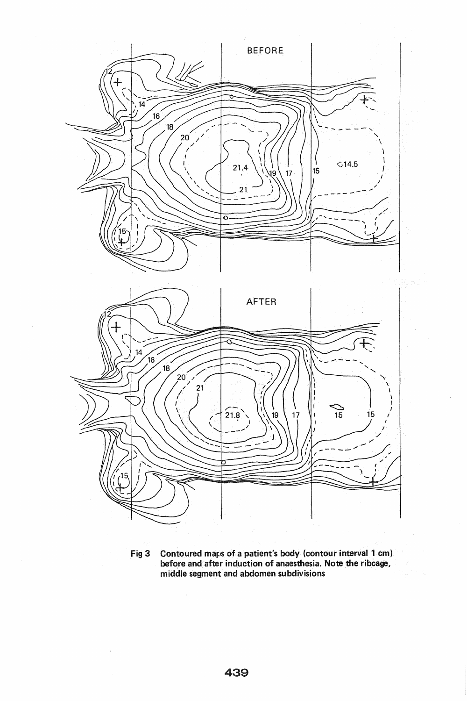

Fig 3 Contoured maps of a patient's body (contour interval 1 cm) before and after induction of anaesthesia. Note the ribcage, middle segment and abdomen subdivisions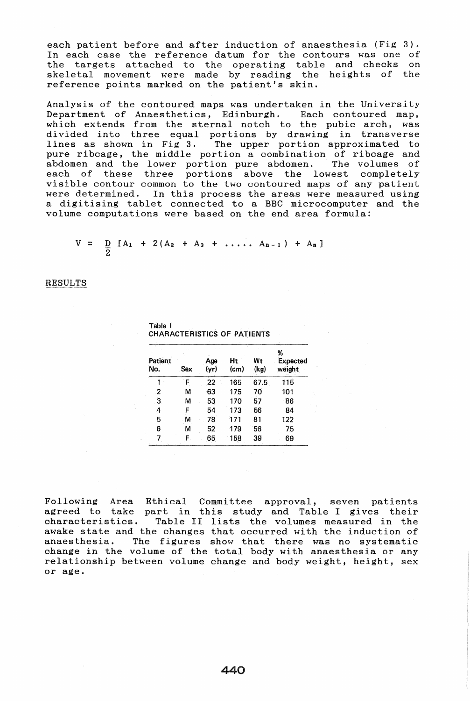each patient before and after induction of anaesthesia (Fig 3). In each case the reference datum for the contours was one of the targets attached to the operating table and checks on skeletal movement were made by reading the heights of the reference points marked on the patient's skin.

Analysis of the contoured maps was undertaken in the University Department of Anaesthetics, Edinburgh. Each contoured map, which extends from the sternal notch to the pubic arch, was divided into three equal portions by drawing in transverse<br>lines as shown in Fig 3. The upper portion approximated to The upper portion approximated to pure ribcage, the middle portion a combination of ribcage and abdomen and the lower portion pure abdomen. The volumes of each of these three portions above the lowest completely visible contour common to the two contoured maps of any patient were determined. In this process the areas were measured using a digitising tablet connected to a BBC microcomputer and the volume computations were based on the end area formula:

$$
V = \frac{D}{2} [A_1 + 2(A_2 + A_3 + \ldots, A_{n-1}) + A_n]
$$

**RESULTS** 

| Patient<br>No. | Sex. | Age<br>(yr) | Ht<br>$\pmb{(cm)}$ | Wt<br>(kg) | %<br>Expected<br>weight |  |
|----------------|------|-------------|--------------------|------------|-------------------------|--|
| 1              | F    | 22          | 165                | 67.5       | 115                     |  |
| $\overline{2}$ | M    | 63          | 175                | 70         | 101                     |  |
| $\overline{3}$ | M    | 53          | 170                | 57         | 86                      |  |
| 4              | F    | 54          | 173                | 56         | 84                      |  |
| 5              | М    | 78          | 171                | 81         | 122                     |  |
| 6              | M    | 52          | 179                | 56         | 75                      |  |
| 7              | F.   | 65          | 158                | 39         | 69                      |  |

Table I CHARACTERISTICS OF PATIENTS

Following Area Ethical Committee approval, seven patients agreed to take part in this study and Table I gives their characteristics. Table II lists the volumes measured in the awake state and the changes that occurred with the induction of anaesthesia. The figures show that there was no systematic change in the volume of the total body with anaesthesia or any relationship between volume change and body weight, height, sex or age.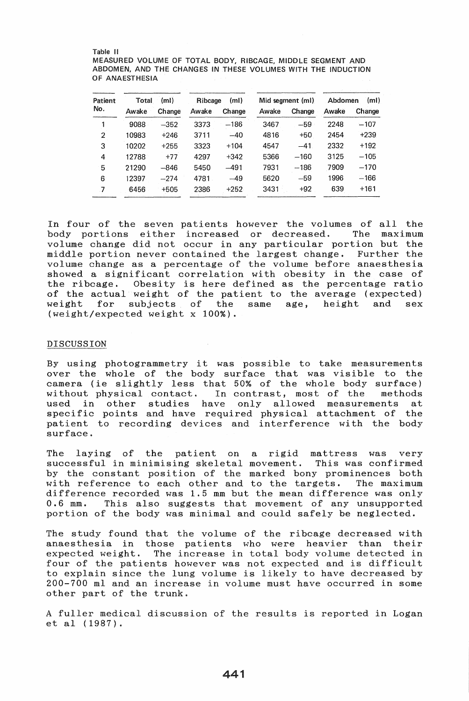#### Table II MEASURED VOLUME OF TOTAL BODY, RIBCAGE, MIDDLE SEGMENT AND ABDOMEN, AND THE CHANGES IN THESE VOLUMES WITH THE INDUCTION OF ANAESTHESIA

| Patient<br>No. | (ml)<br>Total |        | (m <sub>l</sub> )<br>Ribcage |        | Mid segment (ml) |        | Abdomen<br>(m) |        |
|----------------|---------------|--------|------------------------------|--------|------------------|--------|----------------|--------|
|                | Awake         | Change | Awake                        | Change | Awake            | Change | Awake          | Change |
|                | 9088          | $-352$ | 3373                         | $-186$ | 3467             | $-59$  | 2248           | $-107$ |
| 2              | 10983         | $+246$ | 3711                         | $-40$  | 4816             | $+50$  | 2454           | $+239$ |
| 3              | 10202         | $+255$ | 3323                         | $+104$ | 4547             | $-41$  | 2332           | $+192$ |
| 4              | 12788         | $+77$  | 4297                         | $+342$ | 5366             | $-160$ | 3125           | $-105$ |
| 5              | 21290         | $-846$ | 5450                         | $-491$ | 7931             | $-186$ | 7909           | $-170$ |
| 6              | 12397         | $-274$ | 4781                         | $-49$  | 5620             | $-59$  | 1996           | $-166$ |
| $\overline{7}$ | 6456          | $+505$ | 2386                         | $+252$ | 3431             | $+92$  | 639            | $+161$ |

In four of the seven patients however the volumes of all the body portions either increased or decreased. The maximum volume change did not occur in any particular portion but the middle portion never contained the largest change. Further the volume change as a percentage of the volume before anaesthesia showed a significant correlation with obesity in the case of<br>the ribcage. Obesity is here defined as the percentage ratio Obesity is here defined as the percentage ratio of the actual weight of the patient to the average (expected)<br>weight for subjects of the same age, height and sex for subjects of the same age, height and sex (weight/expected weight x 100%).

## DISCUSSION

By using photogrammetry it was possible to take measurements over the whole of the body surface that was visible to the camera (ie slightly less that 50% of the whole body surface) wi thout physical contact. In contrast, most of the methods used in other studies have only allowed measurements at specific points and have required physical attachment of the patient to recording devices and interference with the body surface.

The laying of the patient on a rigid mattress was very successful in minimising skeletal movement. This was confirmed by the constant position of the marked bony prominences both with reference to each other and to the targets. The maximum difference recorded was 1.5 mm but the mean difference was only<br>0.6 mm. This also suggests that movement of any unsupported This also suggests that movement of any unsupported portion of the body was minimal and could safely be neglected.

The study found that the volume of the ribcage decreased with anaesthesia in those patients who were heavier than their The increase in total body volume detected in four of the patients however was not expected and is difficult to explain since the lung volume is likely to have decreased by 200-700 ml and an increase in volume must have occurred in some other part of the trunk.

A fuller medical discussion of the results is reported in Logan et al (1987).